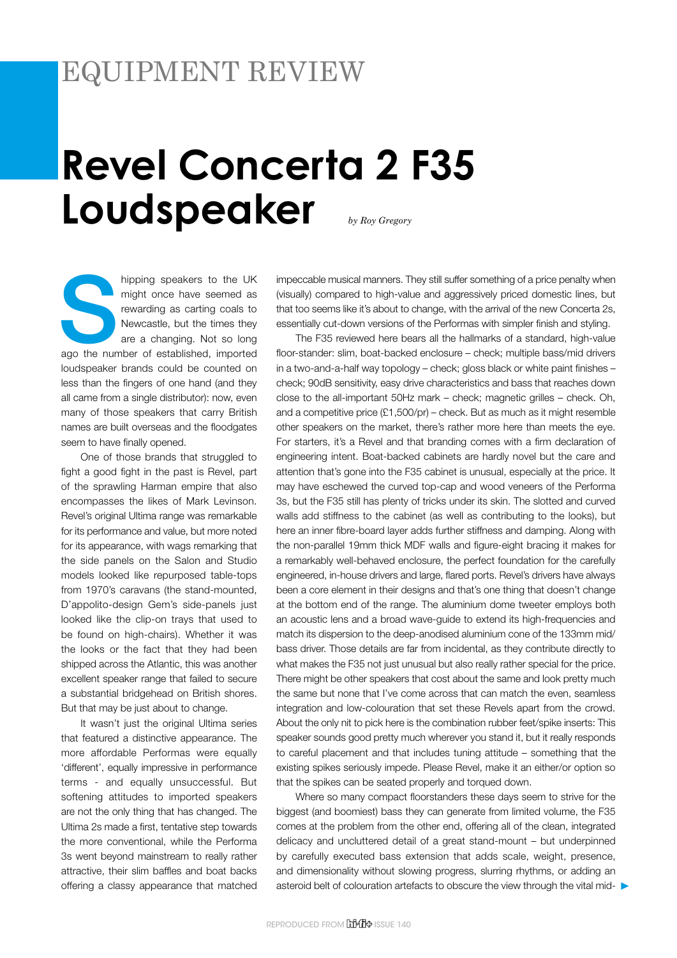# **Revel Concerta 2 F35 Loudspeaker** *by Roy Gregory*

hipping speakers to the UK<br>
might once have seemed as<br>
rewarding as carting coals to<br>
Newcastle, but the times they<br>
are a changing. Not so long<br>
ago the number of established, imported might once have seemed as rewarding as carting coals to Newcastle, but the times they are a changing. Not so long loudspeaker brands could be counted on less than the fingers of one hand (and they all came from a single distributor): now, even many of those speakers that carry British names are built overseas and the floodgates seem to have finally opened.

One of those brands that struggled to fight a good fight in the past is Revel, part of the sprawling Harman empire that also encompasses the likes of Mark Levinson. Revel's original Ultima range was remarkable for its performance and value, but more noted for its appearance, with wags remarking that the side panels on the Salon and Studio models looked like repurposed table-tops from 1970's caravans (the stand-mounted, D'appolito-design Gem's side-panels just looked like the clip-on trays that used to be found on high-chairs). Whether it was the looks or the fact that they had been shipped across the Atlantic, this was another excellent speaker range that failed to secure a substantial bridgehead on British shores. But that may be just about to change.

It wasn't just the original Ultima series that featured a distinctive appearance. The more affordable Performas were equally 'different', equally impressive in performance terms - and equally unsuccessful. But softening attitudes to imported speakers are not the only thing that has changed. The Ultima 2s made a first, tentative step towards the more conventional, while the Performa 3s went beyond mainstream to really rather attractive, their slim baffles and boat backs offering a classy appearance that matched

impeccable musical manners. They still suffer something of a price penalty when (visually) compared to high-value and aggressively priced domestic lines, but that too seems like it's about to change, with the arrival of the new Concerta 2s, essentially cut-down versions of the Performas with simpler finish and styling.

The F35 reviewed here bears all the hallmarks of a standard, high-value floor-stander: slim, boat-backed enclosure – check; multiple bass/mid drivers in a two-and-a-half way topology – check; gloss black or white paint finishes – check; 90dB sensitivity, easy drive characteristics and bass that reaches down close to the all-important 50Hz mark – check; magnetic grilles – check. Oh, and a competitive price (£1,500/pr) – check. But as much as it might resemble other speakers on the market, there's rather more here than meets the eye. For starters, it's a Revel and that branding comes with a firm declaration of engineering intent. Boat-backed cabinets are hardly novel but the care and attention that's gone into the F35 cabinet is unusual, especially at the price. It may have eschewed the curved top-cap and wood veneers of the Performa 3s, but the F35 still has plenty of tricks under its skin. The slotted and curved walls add stiffness to the cabinet (as well as contributing to the looks), but here an inner fibre-board layer adds further stiffness and damping. Along with the non-parallel 19mm thick MDF walls and figure-eight bracing it makes for a remarkably well-behaved enclosure, the perfect foundation for the carefully engineered, in-house drivers and large, flared ports. Revel's drivers have always been a core element in their designs and that's one thing that doesn't change at the bottom end of the range. The aluminium dome tweeter employs both an acoustic lens and a broad wave-guide to extend its high-frequencies and match its dispersion to the deep-anodised aluminium cone of the 133mm mid/ bass driver. Those details are far from incidental, as they contribute directly to what makes the F35 not just unusual but also really rather special for the price. There might be other speakers that cost about the same and look pretty much the same but none that I've come across that can match the even, seamless integration and low-colouration that set these Revels apart from the crowd. About the only nit to pick here is the combination rubber feet/spike inserts: This speaker sounds good pretty much wherever you stand it, but it really responds to careful placement and that includes tuning attitude – something that the existing spikes seriously impede. Please Revel, make it an either/or option so that the spikes can be seated properly and torqued down.

Where so many compact floorstanders these days seem to strive for the biggest (and boomiest) bass they can generate from limited volume, the F35 comes at the problem from the other end, offering all of the clean, integrated delicacy and uncluttered detail of a great stand-mount – but underpinned by carefully executed bass extension that adds scale, weight, presence, and dimensionality without slowing progress, slurring rhythms, or adding an asteroid belt of colouration artefacts to obscure the view through the vital mid-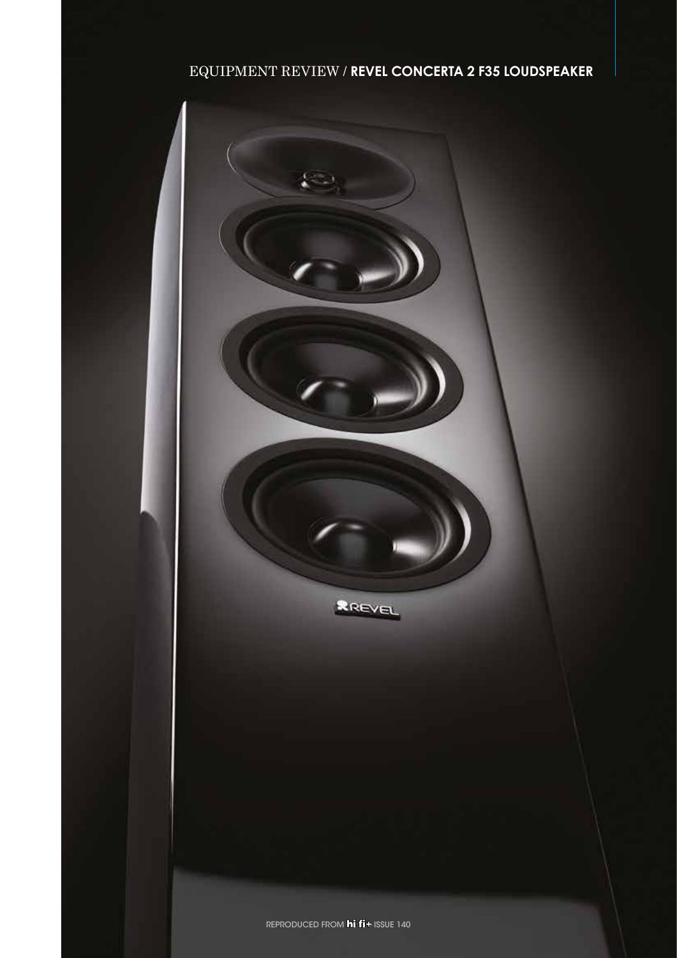### EQUIPMENT REVIEW / **REVEL CONCERTA 2 F35 LOUDSPEAKER**

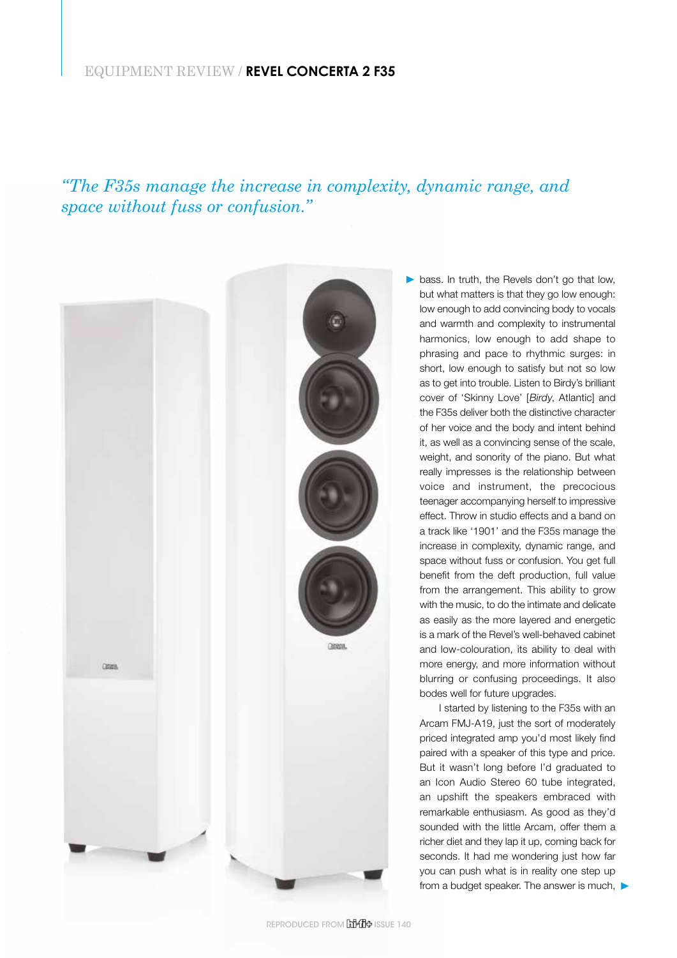## *"The F35s manage the increase in complexity, dynamic range, and space without fuss or confusion."*



**bass.** In truth, the Revels don't go that low, but what matters is that they go low enough: low enough to add convincing body to vocals and warmth and complexity to instrumental harmonics, low enough to add shape to phrasing and pace to rhythmic surges: in short, low enough to satisfy but not so low as to get into trouble. Listen to Birdy's brilliant cover of 'Skinny Love' [Birdy, Atlantic] and the F35s deliver both the distinctive character of her voice and the body and intent behind it, as well as a convincing sense of the scale, weight, and sonority of the piano. But what really impresses is the relationship between voice and instrument, the precocious teenager accompanying herself to impressive effect. Throw in studio effects and a band on a track like '1901' and the F35s manage the increase in complexity, dynamic range, and space without fuss or confusion. You get full benefit from the deft production, full value from the arrangement. This ability to grow with the music, to do the intimate and delicate as easily as the more layered and energetic is a mark of the Revel's well-behaved cabinet and low-colouration, its ability to deal with more energy, and more information without blurring or confusing proceedings. It also bodes well for future upgrades.

I started by listening to the F35s with an Arcam FMJ-A19, just the sort of moderately priced integrated amp you'd most likely find paired with a speaker of this type and price. But it wasn't long before I'd graduated to an Icon Audio Stereo 60 tube integrated, an upshift the speakers embraced with remarkable enthusiasm. As good as they'd sounded with the little Arcam, offer them a richer diet and they lap it up, coming back for seconds. It had me wondering just how far you can push what is in reality one step up from a budget speaker. The answer is much,